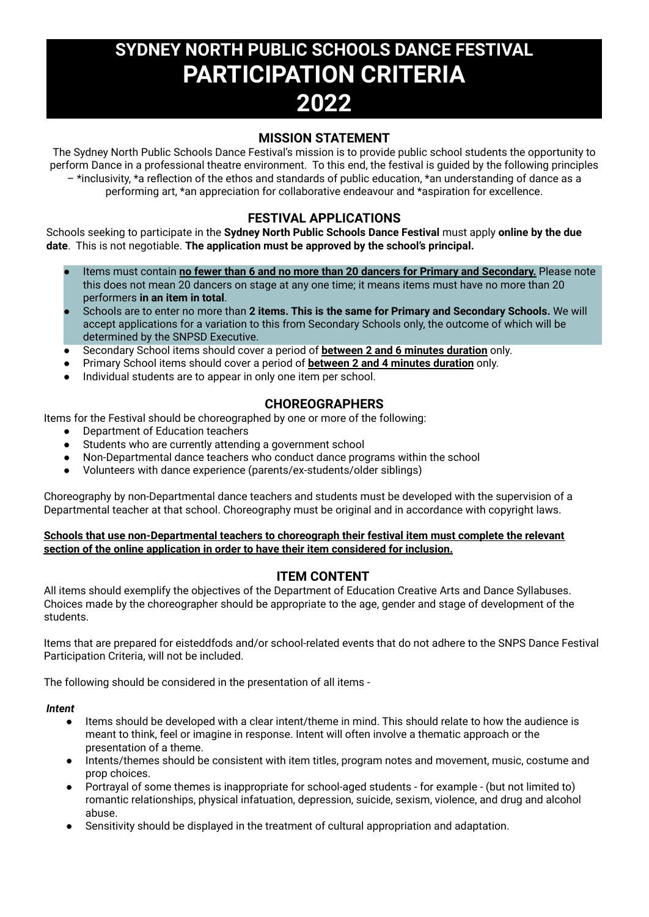# **SYDNEY NORTH PUBLIC SCHOOLS DANCE FESTIVAL PARTICIPATION CRITERIA 2022**

## **MISSION STATEMENT**

The Sydney North Public Schools Dance Festival's mission is to provide public school students the opportunity to perform Dance in a professional theatre environment. To this end, the festival is guided by the following principles

– \*inclusivity, \*a reflection of the ethos and standards of public education, \*an understanding of dance as a performing art, \*an appreciation for collaborative endeavour and \*aspiration for excellence.

## **FESTIVAL APPLICATIONS**

Schools seeking to participate in the **Sydney North Public Schools Dance Festival** must apply **online by the due date**. This is not negotiable. **The application must be approved by the school's principal.**

- Items must contain **no fewer than 6 and no more than 20 dancers for Primary and Secondary.** Please note this does not mean 20 dancers on stage at any one time; it means items must have no more than 20 performers **in an item in total**.
- Schools are to enter no more than **2 items. This is the same for Primary and Secondary Schools.** We will accept applications for a variation to this from Secondary Schools only, the outcome of which will be determined by the SNPSD Executive.
- Secondary School items should cover a period of **between 2 and 6 minutes duration** only.
- Primary School items should cover a period of **between 2 and 4 minutes duration** only.
- Individual students are to appear in only one item per school.

## **CHOREOGRAPHERS**

Items for the Festival should be choreographed by one or more of the following:

- Department of Education teachers
- Students who are currently attending a government school
- Non-Departmental dance teachers who conduct dance programs within the school
- Volunteers with dance experience (parents/ex-students/older siblings)

Choreography by non-Departmental dance teachers and students must be developed with the supervision of a Departmental teacher at that school. Choreography must be original and in accordance with copyright laws.

#### **Schools that use non-Departmental teachers to choreograph their festival item must complete the relevant section of the online application in order to have their item considered for inclusion.**

## **ITEM CONTENT**

All items should exemplify the objectives of the Department of Education Creative Arts and Dance Syllabuses. Choices made by the choreographer should be appropriate to the age, gender and stage of development of the students.

Items that are prepared for eisteddfods and/or school-related events that do not adhere to the SNPS Dance Festival Participation Criteria, will not be included.

The following should be considered in the presentation of all items -

#### *Intent*

- Items should be developed with a clear intent/theme in mind. This should relate to how the audience is meant to think, feel or imagine in response. Intent will often involve a thematic approach or the presentation of a theme.
- Intents/themes should be consistent with item titles, program notes and movement, music, costume and prop choices.
- Portrayal of some themes is inappropriate for school-aged students for example (but not limited to) romantic relationships, physical infatuation, depression, suicide, sexism, violence, and drug and alcohol abuse.
- Sensitivity should be displayed in the treatment of cultural appropriation and adaptation.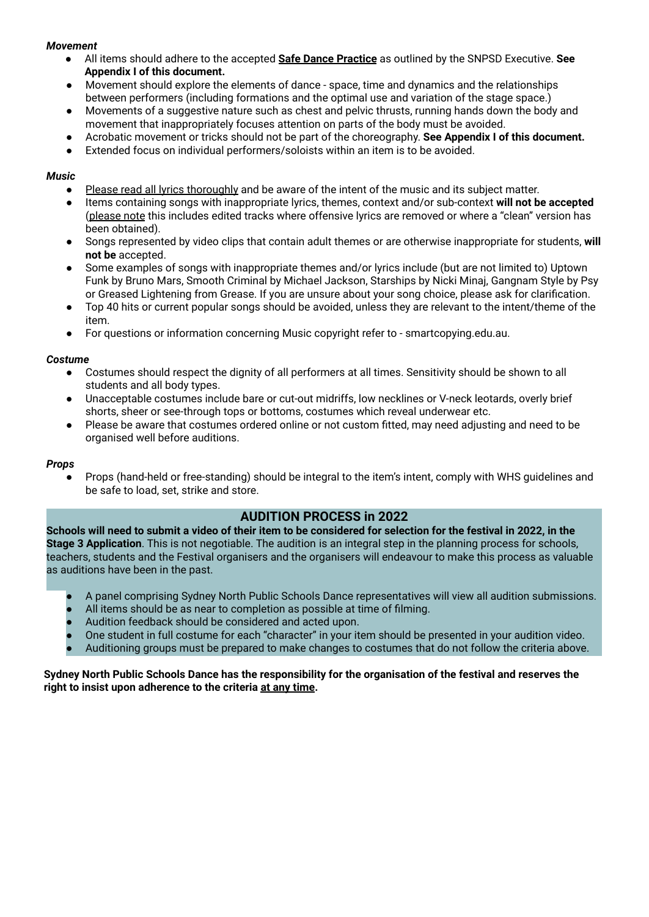#### *Movement*

- All items should adhere to the accepted **Safe Dance Practice** as outlined by the SNPSD Executive. **See Appendix I of this document.**
- Movement should explore the elements of dance space, time and dynamics and the relationships between performers (including formations and the optimal use and variation of the stage space.)
- Movements of a suggestive nature such as chest and pelvic thrusts, running hands down the body and movement that inappropriately focuses attention on parts of the body must be avoided.
- **●** Acrobatic movement or tricks should not be part of the choreography. **See Appendix I of this document.**
- Extended focus on individual performers/soloists within an item is to be avoided.

#### *Music*

- Please read all lyrics thoroughly and be aware of the intent of the music and its subject matter.
- Items containing songs with inappropriate lyrics, themes, context and/or sub-context **will not be accepted** (please note this includes edited tracks where offensive lyrics are removed or where a "clean" version has been obtained).
- Songs represented by video clips that contain adult themes or are otherwise inappropriate for students, **will not be** accepted.
- Some examples of songs with inappropriate themes and/or lyrics include (but are not limited to) Uptown Funk by Bruno Mars, Smooth Criminal by Michael Jackson, Starships by Nicki Minaj, Gangnam Style by Psy or Greased Lightening from Grease. If you are unsure about your song choice, please ask for clarification.
- Top 40 hits or current popular songs should be avoided, unless they are relevant to the intent/theme of the item.
- For questions or information concerning Music copyright refer to smartcopying.edu.au.

#### *Costume*

- Costumes should respect the dignity of all performers at all times. Sensitivity should be shown to all students and all body types.
- Unacceptable costumes include bare or cut-out midriffs, low necklines or V-neck leotards, overly brief shorts, sheer or see-through tops or bottoms, costumes which reveal underwear etc.
- Please be aware that costumes ordered online or not custom fitted, may need adjusting and need to be organised well before auditions.

#### *Props*

Props (hand-held or free-standing) should be integral to the item's intent, comply with WHS guidelines and be safe to load, set, strike and store.

## **AUDITION PROCESS in 2022**

Schools will need to submit a video of their item to be considered for selection for the festival in 2022, in the **Stage 3 Application**. This is not negotiable. The audition is an integral step in the planning process for schools, teachers, students and the Festival organisers and the organisers will endeavour to make this process as valuable as auditions have been in the past.

- A panel comprising Sydney North Public Schools Dance representatives will view all audition submissions.
- All items should be as near to completion as possible at time of filming.
- Audition feedback should be considered and acted upon.
- One student in full costume for each "character" in your item should be presented in your audition video.
- Auditioning groups must be prepared to make changes to costumes that do not follow the criteria above.

#### Sydney North Public Schools Dance has the responsibility for the organisation of the festival and reserves the **right to insist upon adherence to the criteria at any time.**